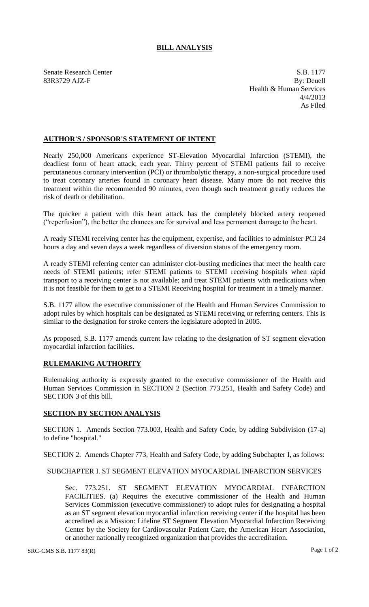## **BILL ANALYSIS**

Senate Research Center S.B. 1177 83R3729 AJZ-F By: Deuell Health & Human Services 4/4/2013 As Filed

## **AUTHOR'S / SPONSOR'S STATEMENT OF INTENT**

Nearly 250,000 Americans experience ST-Elevation Myocardial Infarction (STEMI), the deadliest form of heart attack, each year. Thirty percent of STEMI patients fail to receive percutaneous coronary intervention (PCI) or thrombolytic therapy, a non-surgical procedure used to treat coronary arteries found in coronary heart disease. Many more do not receive this treatment within the recommended 90 minutes, even though such treatment greatly reduces the risk of death or debilitation.

The quicker a patient with this heart attack has the completely blocked artery reopened ("reperfusion"), the better the chances are for survival and less permanent damage to the heart.

A ready STEMI receiving center has the equipment, expertise, and facilities to administer PCI 24 hours a day and seven days a week regardless of diversion status of the emergency room.

A ready STEMI referring center can administer clot-busting medicines that meet the health care needs of STEMI patients; refer STEMI patients to STEMI receiving hospitals when rapid transport to a receiving center is not available; and treat STEMI patients with medications when it is not feasible for them to get to a STEMI Receiving hospital for treatment in a timely manner.

S.B. 1177 allow the executive commissioner of the Health and Human Services Commission to adopt rules by which hospitals can be designated as STEMI receiving or referring centers. This is similar to the designation for stroke centers the legislature adopted in 2005.

As proposed, S.B. 1177 amends current law relating to the designation of ST segment elevation myocardial infarction facilities.

## **RULEMAKING AUTHORITY**

Rulemaking authority is expressly granted to the executive commissioner of the Health and Human Services Commission in SECTION 2 (Section 773.251, Health and Safety Code) and SECTION 3 of this bill.

## **SECTION BY SECTION ANALYSIS**

SECTION 1. Amends Section 773.003, Health and Safety Code, by adding Subdivision (17-a) to define "hospital."

SECTION 2. Amends Chapter 773, Health and Safety Code, by adding Subchapter I, as follows:

SUBCHAPTER I. ST SEGMENT ELEVATION MYOCARDIAL INFARCTION SERVICES

Sec. 773.251. ST SEGMENT ELEVATION MYOCARDIAL INFARCTION FACILITIES. (a) Requires the executive commissioner of the Health and Human Services Commission (executive commissioner) to adopt rules for designating a hospital as an ST segment elevation myocardial infarction receiving center if the hospital has been accredited as a Mission: Lifeline ST Segment Elevation Myocardial Infarction Receiving Center by the Society for Cardiovascular Patient Care, the American Heart Association, or another nationally recognized organization that provides the accreditation.